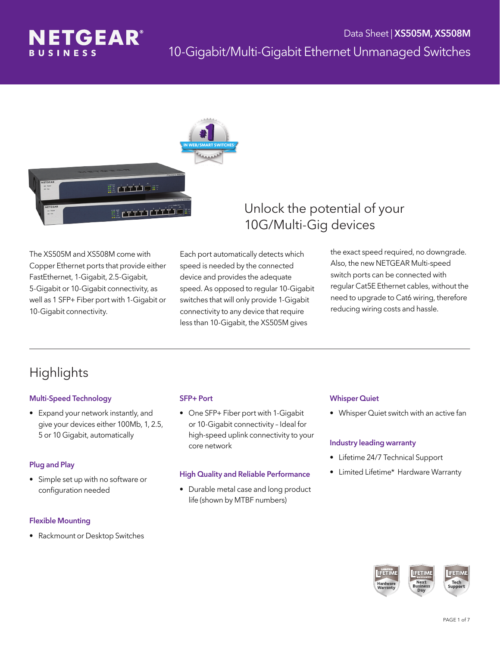



The XS505M and XS508M come with Copper Ethernet ports that provide either FastEthernet, 1-Gigabit, 2.5-Gigabit, 5-Gigabit or 10-Gigabit connectivity, as well as 1 SFP+ Fiber port with 1-Gigabit or 10-Gigabit connectivity.

Each port automatically detects which speed is needed by the connected device and provides the adequate speed. As opposed to regular 10-Gigabit switches that will only provide 1-Gigabit connectivity to any device that require less than 10-Gigabit, the XS505M gives

### Unlock the potential of your 10G/Multi-Gig devices

the exact speed required, no downgrade. Also, the new NETGEAR Multi-speed switch ports can be connected with regular Cat5E Ethernet cables, without the need to upgrade to Cat6 wiring, therefore reducing wiring costs and hassle.

# **Highlights**

### Multi-Speed Technology

• Expand your network instantly, and give your devices either 100Mb, 1, 2.5, 5 or 10 Gigabit, automatically

### Plug and Play

• Simple set up with no software or configuration needed

#### Flexible Mounting

• Rackmount or Desktop Switches

#### SFP+ Port

• One SFP+ Fiber port with 1-Gigabit or 10-Gigabit connectivity – Ideal for high-speed uplink connectivity to your core network

#### High Quality and Reliable Performance

• Durable metal case and long product life (shown by MTBF numbers)

#### Whisper Quiet

• Whisper Quiet switch with an active fan

#### Industry leading warranty

- Lifetime 24/7 Technical Support
- Limited Lifetime\* Hardware Warranty

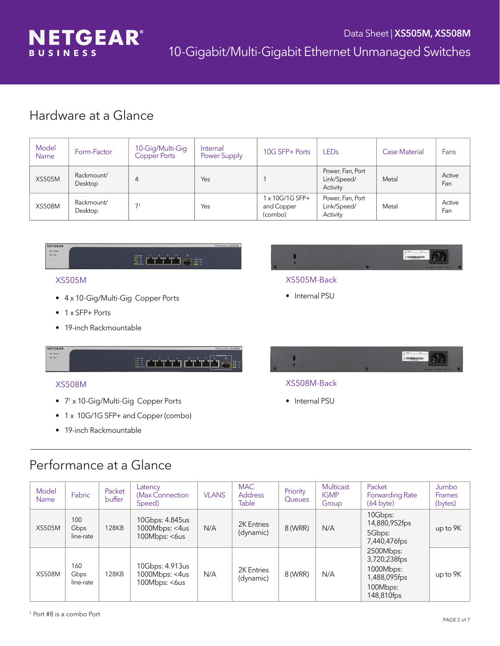

## Hardware at a Glance

| Model<br><b>Name</b> | Form-Factor           | 10-Gig/Multi-Gig<br>Copper Ports | Internal<br>Power Supply | 10G SFP+ Ports                           | <b>LED<sub>s</sub></b>                      | <b>Case Material</b> | Fans          |
|----------------------|-----------------------|----------------------------------|--------------------------|------------------------------------------|---------------------------------------------|----------------------|---------------|
| <b>XS505M</b>        | Rackmount/<br>Desktop | 4                                | Yes                      |                                          | Power, Fan, Port<br>Link/Speed/<br>Activity | Metal                | Active<br>Fan |
| <b>XS508M</b>        | Rackmount/<br>Desktop | 7 <sup>1</sup>                   | Yes                      | 1 x 10G/1G SFP+<br>and Copper<br>(combo) | Power, Fan, Port<br>Link/Speed/<br>Activity | Metal                | Active<br>Fan |



### XS505M

- • 4 x 10-Gig/Multi-Gig Copper Ports
- 1 x SFP+ Ports
- 19-inch Rackmountable



### XS505M-Back

- Internal PSU
- NETGEAR

### XS508M

 $\begin{array}{c}\n\text{Im} \quad \text{Power} \\
\text{Im} \quad \text{Fan}\n\end{array}$ 

- 7<sup>1</sup> x 10-Gig/Multi-Gig Copper Ports
- 1 x 10G/1G SFP+ and Copper (combo)
- 19-inch Rackmountable



### XS508M-Back

• Internal PSU

## Performance at a Glance

| Model<br><b>Name</b> | Fabric                   | Packet<br>buffer | Latency<br>(Max Connection)<br>Speed)              | <b>VLANS</b> | <b>MAC</b><br><b>Address</b><br><b>Table</b> | Priority<br>Queues | <b>Multicast</b><br><b>IGMP</b><br>Group | Packet<br><b>Forwarding Rate</b><br>$(64 \text{ byte})$                          | Jumbo<br><b>Frames</b><br>(bytes) |
|----------------------|--------------------------|------------------|----------------------------------------------------|--------------|----------------------------------------------|--------------------|------------------------------------------|----------------------------------------------------------------------------------|-----------------------------------|
| <b>XS505M</b>        | 100<br>Gbps<br>line-rate | <b>128KB</b>     | 10Gbps: 4.845us<br>1000Mbps: <4us<br>100Mbps: <6us | N/A          | 2K Entries<br>(dynamic)                      | 8 (WRR)            | N/A                                      | 10Gbps:<br>14,880,952fps<br>5Gbps:<br>7,440,476fps                               | up to 9K                          |
| <b>XS508M</b>        | 160<br>Gbps<br>line-rate | <b>128KB</b>     | 10Gbps: 4.913us<br>1000Mbps: <4us<br>100Mbps: <6us | N/A          | 2K Entries<br>(dynamic)                      | 8 (WRR)            | N/A                                      | 2500Mbps:<br>3,720,238fps<br>1000Mbps:<br>1,488,095fps<br>100Mbps:<br>148,810fps | up to 9K                          |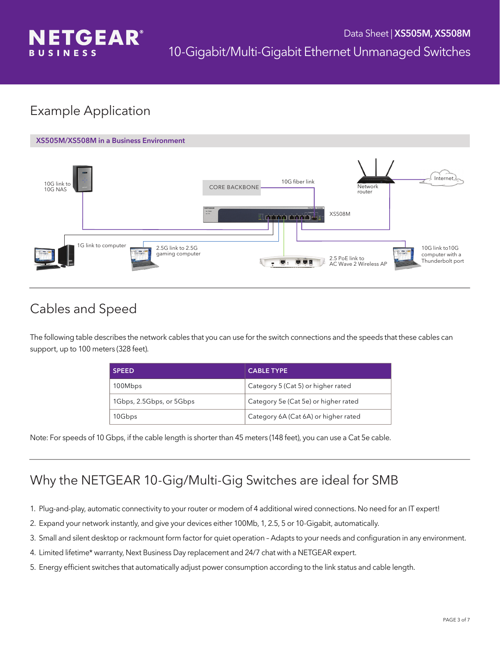

# Example Application



# Cables and Speed

The following table describes the network cables that you can use for the switch connections and the speeds that these cables can support, up to 100 meters (328 feet).

| <b>SPEED</b>             | <b>CABLE TYPE</b>                    |
|--------------------------|--------------------------------------|
| 100Mbps                  | Category 5 (Cat 5) or higher rated   |
| 1Gbps, 2.5Gbps, or 5Gbps | Category 5e (Cat 5e) or higher rated |
| 10Gbps                   | Category 6A (Cat 6A) or higher rated |

Note: For speeds of 10 Gbps, if the cable length is shorter than 45 meters (148 feet), you can use a Cat 5e cable.

# Why the NETGEAR 10-Gig/Multi-Gig Switches are ideal for SMB

- 1. Plug-and-play, automatic connectivity to your router or modem of 4 additional wired connections. No need for an IT expert!
- 2. Expand your network instantly, and give your devices either 100Mb, 1, 2.5, 5 or 10-Gigabit, automatically.
- 3. Small and silent desktop or rackmount form factor for quiet operation Adapts to your needs and configuration in any environment.
- 4. Limited lifetime\* warranty, Next Business Day replacement and 24/7 chat with a NETGEAR expert.
- 5. Energy efficient switches that automatically adjust power consumption according to the link status and cable length.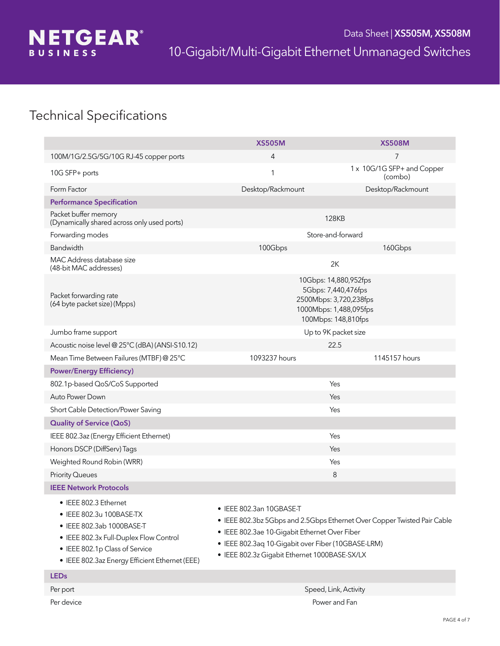

# Technical Specifications

|                                                                                                                                                                                                              | <b>XS505M</b>                                                                                                                                                                                                                                                | <b>XS508M</b>                         |  |  |
|--------------------------------------------------------------------------------------------------------------------------------------------------------------------------------------------------------------|--------------------------------------------------------------------------------------------------------------------------------------------------------------------------------------------------------------------------------------------------------------|---------------------------------------|--|--|
| 100M/1G/2.5G/5G/10G RJ-45 copper ports                                                                                                                                                                       | 4                                                                                                                                                                                                                                                            | $\overline{7}$                        |  |  |
| 10G SFP+ ports                                                                                                                                                                                               | 1                                                                                                                                                                                                                                                            | 1 x 10G/1G SFP+ and Copper<br>(combo) |  |  |
| Form Factor                                                                                                                                                                                                  | Desktop/Rackmount                                                                                                                                                                                                                                            | Desktop/Rackmount                     |  |  |
| <b>Performance Specification</b>                                                                                                                                                                             |                                                                                                                                                                                                                                                              |                                       |  |  |
| Packet buffer memory<br>(Dynamically shared across only used ports)                                                                                                                                          | <b>128KB</b>                                                                                                                                                                                                                                                 |                                       |  |  |
| Forwarding modes                                                                                                                                                                                             | Store-and-forward                                                                                                                                                                                                                                            |                                       |  |  |
| Bandwidth                                                                                                                                                                                                    | 100Gbps                                                                                                                                                                                                                                                      | 160Gbps                               |  |  |
| MAC Address database size<br>(48-bit MAC addresses)                                                                                                                                                          |                                                                                                                                                                                                                                                              | 2K                                    |  |  |
| Packet forwarding rate<br>(64 byte packet size) (Mpps)                                                                                                                                                       | 10Gbps: 14,880,952fps<br>5Gbps: 7,440,476fps<br>2500Mbps: 3,720,238fps<br>1000Mbps: 1,488,095fps<br>100Mbps: 148,810fps                                                                                                                                      |                                       |  |  |
| Jumbo frame support                                                                                                                                                                                          | Up to 9K packet size                                                                                                                                                                                                                                         |                                       |  |  |
| Acoustic noise level @ 25°C (dBA) (ANSI-S10.12)                                                                                                                                                              | 22.5                                                                                                                                                                                                                                                         |                                       |  |  |
| Mean Time Between Failures (MTBF) @ 25°C                                                                                                                                                                     | 1093237 hours                                                                                                                                                                                                                                                | 1145157 hours                         |  |  |
| <b>Power/Energy Efficiency)</b>                                                                                                                                                                              |                                                                                                                                                                                                                                                              |                                       |  |  |
| 802.1p-based QoS/CoS Supported                                                                                                                                                                               | Yes                                                                                                                                                                                                                                                          |                                       |  |  |
| Auto Power Down                                                                                                                                                                                              |                                                                                                                                                                                                                                                              | Yes                                   |  |  |
| Short Cable Detection/Power Saving                                                                                                                                                                           | Yes                                                                                                                                                                                                                                                          |                                       |  |  |
| <b>Quality of Service (QoS)</b>                                                                                                                                                                              |                                                                                                                                                                                                                                                              |                                       |  |  |
| IEEE 802.3az (Energy Efficient Ethernet)                                                                                                                                                                     | Yes                                                                                                                                                                                                                                                          |                                       |  |  |
| Honors DSCP (DiffServ) Tags                                                                                                                                                                                  | Yes                                                                                                                                                                                                                                                          |                                       |  |  |
| Weighted Round Robin (WRR)                                                                                                                                                                                   | Yes                                                                                                                                                                                                                                                          |                                       |  |  |
| <b>Priority Queues</b>                                                                                                                                                                                       | 8                                                                                                                                                                                                                                                            |                                       |  |  |
| <b>IEEE Network Protocols</b>                                                                                                                                                                                |                                                                                                                                                                                                                                                              |                                       |  |  |
| • IEEE 802.3 Ethernet<br>• IEEE 802.3u 100BASE-TX<br>• IEEE 802.3ab 1000BASE-T<br>• IEEE 802.3x Full-Duplex Flow Control<br>• IEEE 802.1p Class of Service<br>• IEEE 802.3az Energy Efficient Ethernet (EEE) | • IEEE 802.3an 10GBASE-T<br>• IEEE 802.3bz 5Gbps and 2.5Gbps Ethernet Over Copper Twisted Pair Cable<br>• IEEE 802.3ae 10-Gigabit Ethernet Over Fiber<br>• IEEE 802.3aq 10-Gigabit over Fiber (10GBASE-LRM)<br>• IEEE 802.3z Gigabit Ethernet 1000BASE-SX/LX |                                       |  |  |
| <b>LEDs</b>                                                                                                                                                                                                  |                                                                                                                                                                                                                                                              |                                       |  |  |
| Per port                                                                                                                                                                                                     | Speed, Link, Activity                                                                                                                                                                                                                                        |                                       |  |  |
| Per device                                                                                                                                                                                                   | Power and Fan                                                                                                                                                                                                                                                |                                       |  |  |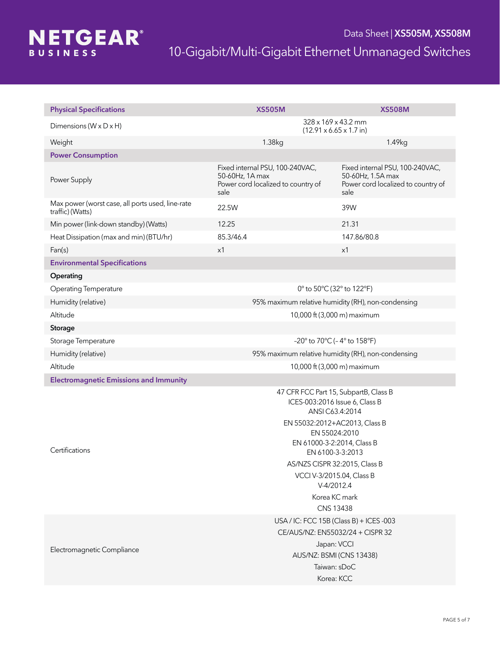

| <b>Physical Specifications</b>                                       | <b>XS505M</b>                                                                                                                                                                                                                                                                                            | <b>XS508M</b>                                                                                      |  |  |
|----------------------------------------------------------------------|----------------------------------------------------------------------------------------------------------------------------------------------------------------------------------------------------------------------------------------------------------------------------------------------------------|----------------------------------------------------------------------------------------------------|--|--|
| Dimensions ( $W \times D \times H$ )                                 | $328 \times 169 \times 43.2$ mm<br>$(12.91 \times 6.65 \times 1.7 \text{ in})$                                                                                                                                                                                                                           |                                                                                                    |  |  |
| Weight                                                               | 1.38kg                                                                                                                                                                                                                                                                                                   | 1.49kg                                                                                             |  |  |
| <b>Power Consumption</b>                                             |                                                                                                                                                                                                                                                                                                          |                                                                                                    |  |  |
| Power Supply                                                         | Fixed internal PSU, 100-240VAC,<br>50-60Hz, 1A max<br>Power cord localized to country of<br>sale                                                                                                                                                                                                         | Fixed internal PSU, 100-240VAC,<br>50-60Hz, 1.5A max<br>Power cord localized to country of<br>sale |  |  |
| Max power (worst case, all ports used, line-rate<br>traffic) (Watts) | 22.5W                                                                                                                                                                                                                                                                                                    | 39W                                                                                                |  |  |
| Min power (link-down standby) (Watts)                                | 12.25                                                                                                                                                                                                                                                                                                    | 21.31                                                                                              |  |  |
| Heat Dissipation (max and min) (BTU/hr)                              | 85.3/46.4                                                                                                                                                                                                                                                                                                | 147.86/80.8                                                                                        |  |  |
| Fan(s)                                                               | x1                                                                                                                                                                                                                                                                                                       | x1                                                                                                 |  |  |
| <b>Environmental Specifications</b>                                  |                                                                                                                                                                                                                                                                                                          |                                                                                                    |  |  |
| Operating                                                            |                                                                                                                                                                                                                                                                                                          |                                                                                                    |  |  |
| <b>Operating Temperature</b>                                         | 0° to 50°C (32° to 122°F)                                                                                                                                                                                                                                                                                |                                                                                                    |  |  |
| Humidity (relative)                                                  | 95% maximum relative humidity (RH), non-condensing                                                                                                                                                                                                                                                       |                                                                                                    |  |  |
| Altitude                                                             | 10,000 ft (3,000 m) maximum                                                                                                                                                                                                                                                                              |                                                                                                    |  |  |
| Storage                                                              |                                                                                                                                                                                                                                                                                                          |                                                                                                    |  |  |
| Storage Temperature                                                  | $-20^{\circ}$ to 70 $^{\circ}$ C (-4 $^{\circ}$ to 158 $^{\circ}$ F)                                                                                                                                                                                                                                     |                                                                                                    |  |  |
| Humidity (relative)                                                  | 95% maximum relative humidity (RH), non-condensing                                                                                                                                                                                                                                                       |                                                                                                    |  |  |
| Altitude                                                             | 10,000 ft (3,000 m) maximum                                                                                                                                                                                                                                                                              |                                                                                                    |  |  |
| <b>Electromagnetic Emissions and Immunity</b>                        |                                                                                                                                                                                                                                                                                                          |                                                                                                    |  |  |
| Certifications                                                       | 47 CFR FCC Part 15, SubpartB, Class B<br>ICES-003:2016 Issue 6, Class B<br>ANSI C63.4:2014<br>EN 55032:2012+AC2013, Class B<br>EN 55024:2010<br>EN 61000-3-2:2014, Class B<br>EN 6100-3-3:2013<br>AS/NZS CISPR 32:2015, Class B<br>VCCI V-3/2015.04, Class B<br>V-4/2012.4<br>Korea KC mark<br>CNS 13438 |                                                                                                    |  |  |
| Electromagnetic Compliance                                           | USA / IC: FCC 15B (Class B) + ICES -003<br>CE/AUS/NZ: EN55032/24 + CISPR 32<br>Japan: VCCI<br>AUS/NZ: BSMI (CNS 13438)<br>Taiwan: sDoC<br>Korea: KCC                                                                                                                                                     |                                                                                                    |  |  |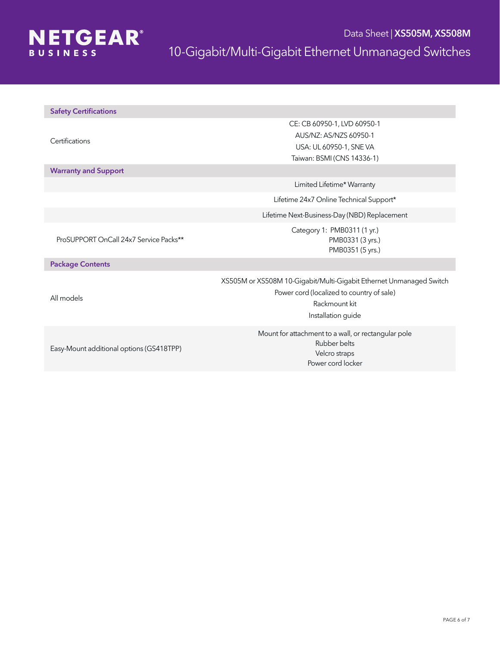

| <b>Safety Certifications</b> |  |  |
|------------------------------|--|--|
|                              |  |  |

**Certifications** 

Warranty and Support

CE: CB 60950-1, LVD 60950-1 AUS/NZ: AS/NZS 60950-1 USA: UL 60950-1, SNE VA Taiwan: BSMI (CNS 14336-1)

Limited Lifetime\* Warranty

Lifetime 24x7 Online Technical Support\*

Lifetime Next-Business-Day (NBD) Replacement

Category 1: PMB0311 (1 yr.) PMB0331 (3 yrs.) PMB0351 (5 yrs.)

ProSUPPORT OnCall 24x7 Service Packs\*\*

Package Contents

All models

XS505M or XS508M 10-Gigabit/Multi-Gigabit Ethernet Unmanaged Switch Power cord (localized to country of sale) Rackmount kit Installation guide

Easy-Mount additional options (GS418TPP)

Mount for attachment to a wall, or rectangular pole Rubber belts Velcro straps Power cord locker